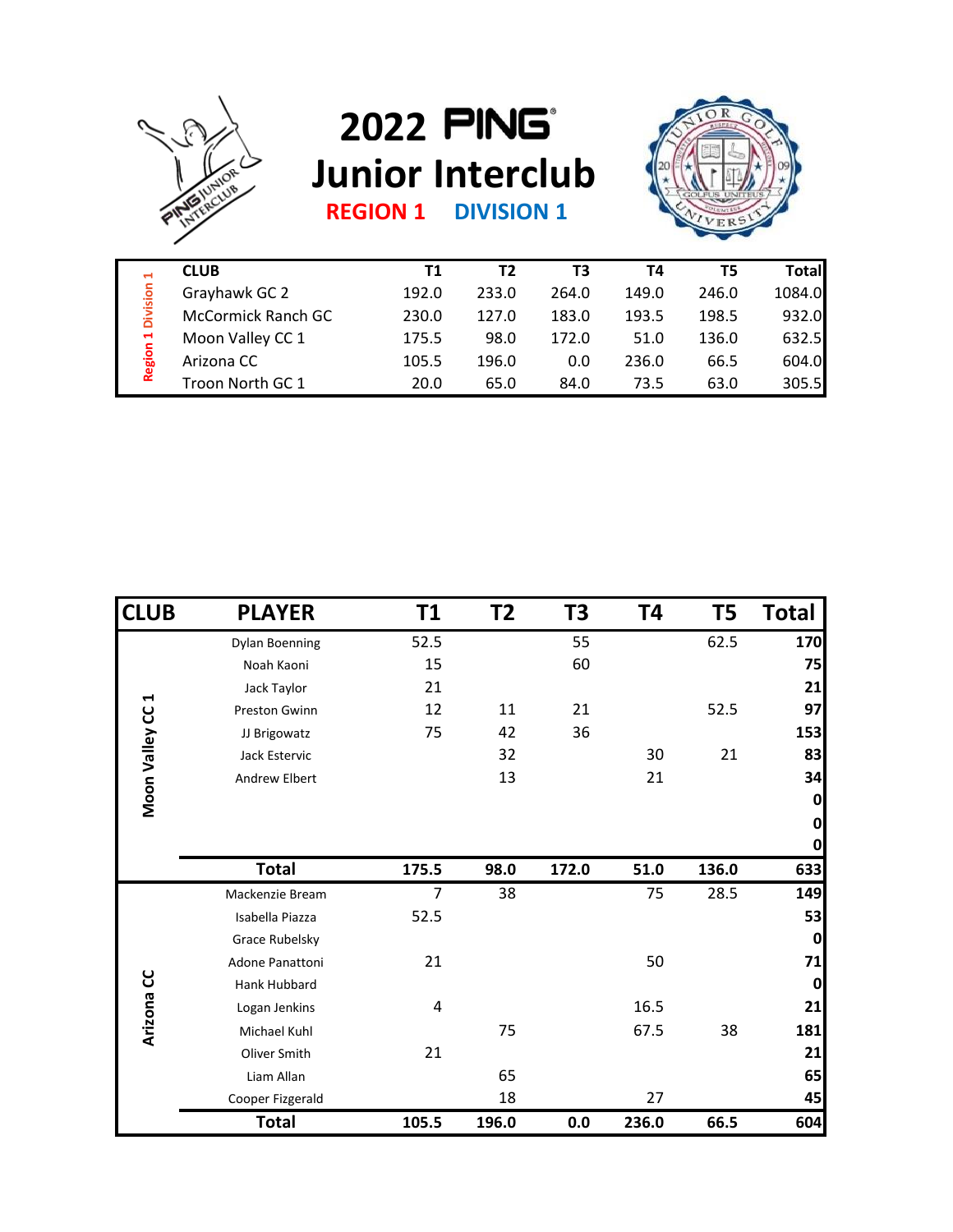

## **2022 Junior Interclub**



**REGION 1 DIVISION 1**

| ы<br>Division<br>$\blacksquare$<br>Region | <b>CLUB</b>               | Τ1    | T2    | ΤЗ    | Τ4    | T5    | Totall |
|-------------------------------------------|---------------------------|-------|-------|-------|-------|-------|--------|
|                                           | Grayhawk GC 2             | 192.0 | 233.0 | 264.0 | 149.0 | 246.0 | 1084.0 |
|                                           | <b>McCormick Ranch GC</b> | 230.0 | 127.0 | 183.0 | 193.5 | 198.5 | 932.0  |
|                                           | Moon Valley CC 1          | 175.5 | 98.0  | 172.0 | 51.0  | 136.0 | 632.5  |
|                                           | Arizona CC                | 105.5 | 196.0 | 0.0   | 236.0 | 66.5  | 604.0  |
|                                           | Troon North GC 1          | 20.0  | 65.0  | 84.0  | 73.5  | 63.0  | 305.5  |

| <b>Region 1 Division 1</b> | <b>CLUD</b>               | <b>LT</b>      | $\mathbf{z}$ | 13    | 14    | כ ו            | Total              |
|----------------------------|---------------------------|----------------|--------------|-------|-------|----------------|--------------------|
|                            | Grayhawk GC 2             | 192.0          | 233.0        | 264.0 | 149.0 | 246.0          | 1084.0             |
|                            | <b>McCormick Ranch GC</b> | 230.0          | 127.0        | 183.0 | 193.5 | 198.5          | 932.0              |
|                            | Moon Valley CC 1          | 175.5          | 98.0         | 172.0 | 51.0  | 136.0          | 632.5              |
|                            | Arizona CC                | 105.5          | 196.0        | 0.0   | 236.0 | 66.5           | 604.0              |
|                            | Troon North GC 1          | 20.0           | 65.0         | 84.0  | 73.5  | 63.0           | 305.5              |
|                            |                           |                |              |       |       |                |                    |
| <b>CLUB</b>                | <b>PLAYER</b>             | T1             | T2           | T3    | T4    | T <sub>5</sub> | <b>Total</b>       |
|                            | <b>Dylan Boenning</b>     | 52.5           |              | 55    |       | 62.5           | 170                |
|                            | Noah Kaoni                | 15             |              | 60    |       |                | 75                 |
| Н                          | Jack Taylor               | 21             |              |       |       |                | 21                 |
|                            | Preston Gwinn             | 12             | 11           | 21    |       | 52.5           | 97                 |
|                            | JJ Brigowatz              | 75             | 42           | 36    |       |                | 153                |
|                            | Jack Estervic             |                | 32           |       | 30    | 21             | 83                 |
| Moon Valley CC             | Andrew Elbert             |                | 13           |       | 21    |                | 34                 |
|                            |                           |                |              |       |       |                | $\mathbf{0}$<br> 0 |
|                            |                           |                |              |       |       |                | $\mathbf{0}$       |
|                            | <b>Total</b>              | 175.5          | 98.0         | 172.0 | 51.0  | 136.0          | 633                |
|                            | Mackenzie Bream           | $\overline{7}$ | 38           |       | 75    | 28.5           | 149                |
|                            | Isabella Piazza           | 52.5           |              |       |       |                | 53                 |
|                            | Grace Rubelsky            |                |              |       |       |                | $\mathbf{0}$       |
|                            | Adone Panattoni           | 21             |              |       | 50    |                | 71                 |
|                            | Hank Hubbard              |                |              |       |       |                | $\mathbf{0}$       |
| Arizona CC                 | Logan Jenkins             | 4              |              |       | 16.5  |                | 21                 |
|                            | Michael Kuhl              |                | 75           |       | 67.5  | 38             | 181                |
|                            | Oliver Smith              | 21             |              |       |       |                | 21                 |
|                            | Liam Allan                |                | 65           |       |       |                | 65                 |
|                            | Cooper Fizgerald          |                | 18           |       | 27    |                | 45                 |
|                            | <b>Total</b>              | 105.5          | 196.0        | 0.0   | 236.0 | 66.5           | 604                |